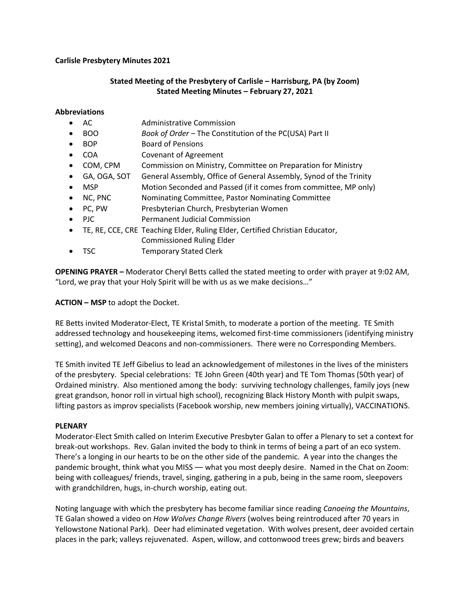## **Carlisle Presbytery Minutes 2021**

## **Stated Meeting of the Presbytery of Carlisle – Harrisburg, PA (by Zoom) Stated Meeting Minutes – February 27, 2021**

## **Abbreviations**

- AC Administrative Commission
- BOO *Book of Order –* The Constitution of the PC(USA) Part II
- BOP Board of Pensions
- COA Covenant of Agreement
- COM, CPM Commission on Ministry, Committee on Preparation for Ministry
- GA, OGA, SOT General Assembly, Office of General Assembly, Synod of the Trinity
- MSP Motion Seconded and Passed (if it comes from committee, MP only)
- NC, PNC Nominating Committee, Pastor Nominating Committee
- PC, PW Presbyterian Church, Presbyterian Women
- PJC Permanent Judicial Commission
- TE, RE, CCE, CRE Teaching Elder, Ruling Elder, Certified Christian Educator, Commissioned Ruling Elder
- TSC Temporary Stated Clerk

**OPENING PRAYER –** Moderator Cheryl Betts called the stated meeting to order with prayer at 9:02 AM, "Lord, we pray that your Holy Spirit will be with us as we make decisions…"

## **ACTION – MSP** to adopt the Docket.

RE Betts invited Moderator-Elect, TE Kristal Smith, to moderate a portion of the meeting. TE Smith addressed technology and housekeeping items, welcomed first-time commissioners (identifying ministry setting), and welcomed Deacons and non-commissioners. There were no Corresponding Members.

TE Smith invited TE Jeff Gibelius to lead an acknowledgement of milestones in the lives of the ministers of the presbytery. Special celebrations: TE John Green (40th year) and TE Tom Thomas (50th year) of Ordained ministry. Also mentioned among the body: surviving technology challenges, family joys (new great grandson, honor roll in virtual high school), recognizing Black History Month with pulpit swaps, lifting pastors as improv specialists (Facebook worship, new members joining virtually), VACCINATIONS.

## **PLENARY**

Moderator-Elect Smith called on Interim Executive Presbyter Galan to offer a Plenary to set a context for break-out workshops. Rev. Galan invited the body to think in terms of being a part of an eco system. There's a longing in our hearts to be on the other side of the pandemic. A year into the changes the pandemic brought, think what you MISS — what you most deeply desire. Named in the Chat on Zoom: being with colleagues/ friends, travel, singing, gathering in a pub, being in the same room, sleepovers with grandchildren, hugs, in-church worship, eating out.

Noting language with which the presbytery has become familiar since reading *Canoeing the Mountains*, TE Galan showed a video on *How Wolves Change Rivers* (wolves being reintroduced after 70 years in Yellowstone National Park). Deer had eliminated vegetation. With wolves present, deer avoided certain places in the park; valleys rejuvenated. Aspen, willow, and cottonwood trees grew; birds and beavers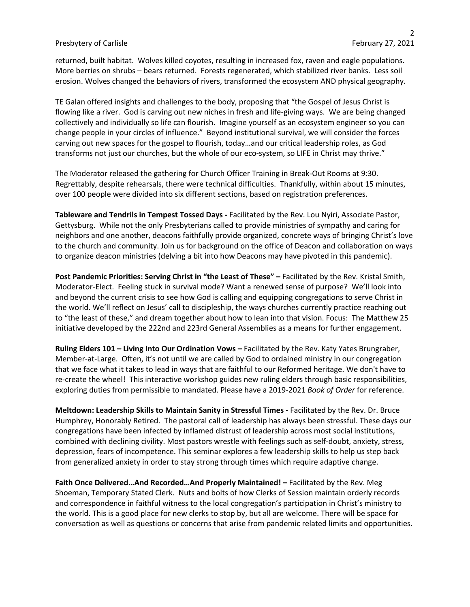#### Presbytery of Carlisle February 27, 2021

returned, built habitat. Wolves killed coyotes, resulting in increased fox, raven and eagle populations. More berries on shrubs – bears returned. Forests regenerated, which stabilized river banks. Less soil erosion. Wolves changed the behaviors of rivers, transformed the ecosystem AND physical geography.

TE Galan offered insights and challenges to the body, proposing that "the Gospel of Jesus Christ is flowing like a river. God is carving out new niches in fresh and life-giving ways. We are being changed collectively and individually so life can flourish. Imagine yourself as an ecosystem engineer so you can change people in your circles of influence." Beyond institutional survival, we will consider the forces carving out new spaces for the gospel to flourish, today…and our critical leadership roles, as God transforms not just our churches, but the whole of our eco-system, so LIFE in Christ may thrive."

The Moderator released the gathering for Church Officer Training in Break-Out Rooms at 9:30. Regrettably, despite rehearsals, there were technical difficulties. Thankfully, within about 15 minutes, over 100 people were divided into six different sections, based on registration preferences.

**Tableware and Tendrils in Tempest Tossed Days -** Facilitated by the Rev. Lou Nyiri, Associate Pastor, Gettysburg. While not the only Presbyterians called to provide ministries of sympathy and caring for neighbors and one another, deacons faithfully provide organized, concrete ways of bringing Christ's love to the church and community. Join us for background on the office of Deacon and collaboration on ways to organize deacon ministries (delving a bit into how Deacons may have pivoted in this pandemic).

**Post Pandemic Priorities: Serving Christ in "the Least of These" –** Facilitated by the Rev. Kristal Smith, Moderator-Elect. Feeling stuck in survival mode? Want a renewed sense of purpose? We'll look into and beyond the current crisis to see how God is calling and equipping congregations to serve Christ in the world. We'll reflect on Jesus' call to discipleship, the ways churches currently practice reaching out to "the least of these," and dream together about how to lean into that vision. Focus: The Matthew 25 initiative developed by the 222nd and 223rd General Assemblies as a means for further engagement.

**Ruling Elders 101 – Living Into Our Ordination Vows –** Facilitated by the Rev. Katy Yates Brungraber, Member-at-Large. Often, it's not until we are called by God to ordained ministry in our congregation that we face what it takes to lead in ways that are faithful to our Reformed heritage. We don't have to re-create the wheel! This interactive workshop guides new ruling elders through basic responsibilities, exploring duties from permissible to mandated. Please have a 2019-2021 *Book of Order* for reference.

**Meltdown: Leadership Skills to Maintain Sanity in Stressful Times -** Facilitated by the Rev. Dr. Bruce Humphrey, Honorably Retired. The pastoral call of leadership has always been stressful. These days our congregations have been infected by inflamed distrust of leadership across most social institutions, combined with declining civility. Most pastors wrestle with feelings such as self-doubt, anxiety, stress, depression, fears of incompetence. This seminar explores a few leadership skills to help us step back from generalized anxiety in order to stay strong through times which require adaptive change.

**Faith Once Delivered…And Recorded…And Properly Maintained! –** Facilitated by the Rev. Meg Shoeman, Temporary Stated Clerk. Nuts and bolts of how Clerks of Session maintain orderly records and correspondence in faithful witness to the local congregation's participation in Christ's ministry to the world. This is a good place for new clerks to stop by, but all are welcome. There will be space for conversation as well as questions or concerns that arise from pandemic related limits and opportunities.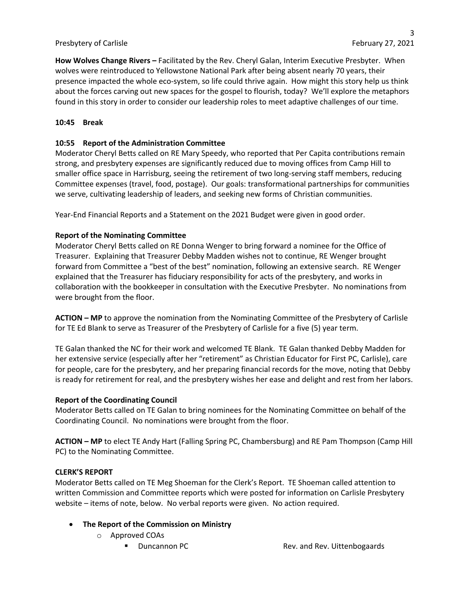## Presbytery of Carlisle February 27, 2021

**How Wolves Change Rivers –** Facilitated by the Rev. Cheryl Galan, Interim Executive Presbyter. When wolves were reintroduced to Yellowstone National Park after being absent nearly 70 years, their presence impacted the whole eco-system, so life could thrive again. How might this story help us think about the forces carving out new spaces for the gospel to flourish, today? We'll explore the metaphors found in this story in order to consider our leadership roles to meet adaptive challenges of our time.

## **10:45 Break**

## **10:55 Report of the Administration Committee**

Moderator Cheryl Betts called on RE Mary Speedy, who reported that Per Capita contributions remain strong, and presbytery expenses are significantly reduced due to moving offices from Camp Hill to smaller office space in Harrisburg, seeing the retirement of two long-serving staff members, reducing Committee expenses (travel, food, postage). Our goals: transformational partnerships for communities we serve, cultivating leadership of leaders, and seeking new forms of Christian communities.

Year-End Financial Reports and a Statement on the 2021 Budget were given in good order.

## **Report of the Nominating Committee**

Moderator Cheryl Betts called on RE Donna Wenger to bring forward a nominee for the Office of Treasurer. Explaining that Treasurer Debby Madden wishes not to continue, RE Wenger brought forward from Committee a "best of the best" nomination, following an extensive search. RE Wenger explained that the Treasurer has fiduciary responsibility for acts of the presbytery, and works in collaboration with the bookkeeper in consultation with the Executive Presbyter. No nominations from were brought from the floor.

**ACTION – MP** to approve the nomination from the Nominating Committee of the Presbytery of Carlisle for TE Ed Blank to serve as Treasurer of the Presbytery of Carlisle for a five (5) year term.

TE Galan thanked the NC for their work and welcomed TE Blank. TE Galan thanked Debby Madden for her extensive service (especially after her "retirement" as Christian Educator for First PC, Carlisle), care for people, care for the presbytery, and her preparing financial records for the move, noting that Debby is ready for retirement for real, and the presbytery wishes her ease and delight and rest from her labors.

## **Report of the Coordinating Council**

Moderator Betts called on TE Galan to bring nominees for the Nominating Committee on behalf of the Coordinating Council. No nominations were brought from the floor.

**ACTION – MP** to elect TE Andy Hart (Falling Spring PC, Chambersburg) and RE Pam Thompson (Camp Hill PC) to the Nominating Committee.

## **CLERK'S REPORT**

Moderator Betts called on TE Meg Shoeman for the Clerk's Report. TE Shoeman called attention to written Commission and Committee reports which were posted for information on Carlisle Presbytery website – items of note, below. No verbal reports were given. No action required.

# • **The Report of the Commission on Ministry**

- o Approved COAs
	-

■ Duncannon PC Rev. and Rev. Uittenbogaards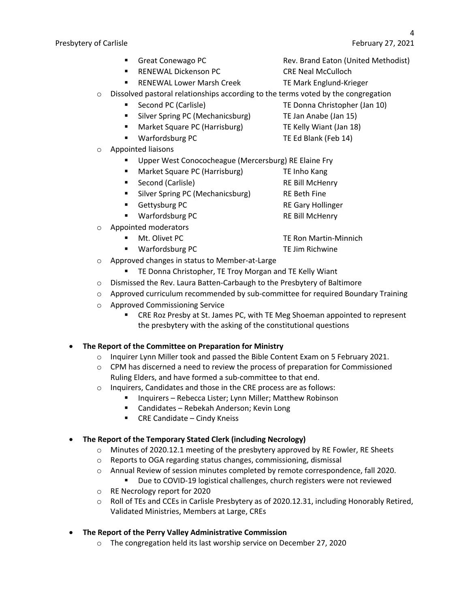- 
- RENEWAL Dickenson PC CRE Neal McCulloch
- RENEWAL Lower Marsh Creek TE Mark Englund-Krieger
- $\circ$  Dissolved pastoral relationships according to the terms voted by the congregation
	- Second PC (Carlisle) TE Donna Christopher (Jan 10)
	- Silver Spring PC (Mechanicsburg) TE Jan Anabe (Jan 15)
	- Market Square PC (Harrisburg) TE Kelly Wiant (Jan 18)
	- Warfordsburg PC TE Ed Blank (Feb 14)
- o Appointed liaisons
	- Upper West Conococheague (Mercersburg) RE Elaine Fry
	- Market Square PC (Harrisburg) TE Inho Kang
	- Second (Carlisle) RE Bill McHenry
	- Silver Spring PC (Mechanicsburg) RE Beth Fine
	- Gettysburg PC RE Gary Hollinger
	- Warfordsburg PC RE Bill McHenry
- o Appointed moderators
	-
	-
- o Approved changes in status to Member-at-Large
	- TE Donna Christopher, TE Troy Morgan and TE Kelly Wiant
- o Dismissed the Rev. Laura Batten-Carbaugh to the Presbytery of Baltimore
- o Approved curriculum recommended by sub-committee for required Boundary Training
- o Approved Commissioning Service
	- § CRE Roz Presby at St. James PC, with TE Meg Shoeman appointed to represent the presbytery with the asking of the constitutional questions
- **The Report of the Committee on Preparation for Ministry**
	- $\circ$  Inquirer Lynn Miller took and passed the Bible Content Exam on 5 February 2021.
	- $\circ$  CPM has discerned a need to review the process of preparation for Commissioned Ruling Elders, and have formed a sub-committee to that end.
	- o Inquirers, Candidates and those in the CRE process are as follows:
		- Inquirers Rebecca Lister; Lynn Miller; Matthew Robinson
		- Candidates Rebekah Anderson; Kevin Long
		- CRE Candidate Cindy Kneiss
- **The Report of the Temporary Stated Clerk (including Necrology)**
	- o Minutes of 2020.12.1 meeting of the presbytery approved by RE Fowler, RE Sheets
	- o Reports to OGA regarding status changes, commissioning, dismissal
	- o Annual Review of session minutes completed by remote correspondence, fall 2020.
		- Due to COVID-19 logistical challenges, church registers were not reviewed
	- o RE Necrology report for 2020
	- o Roll of TEs and CCEs in Carlisle Presbytery as of 2020.12.31, including Honorably Retired, Validated Ministries, Members at Large, CREs
- **The Report of the Perry Valley Administrative Commission**
	- o The congregation held its last worship service on December 27, 2020
- Great Conewago PC **Rev. Brand Eaton (United Methodist)** 
	-
	-
	-
	-
	-
	-
	- -
		-
		-
	-
	-
- **Solution Martin-Minnich Music PC** TE Ron Martin-Minnich
- Warfordsburg PC TE Jim Richwine